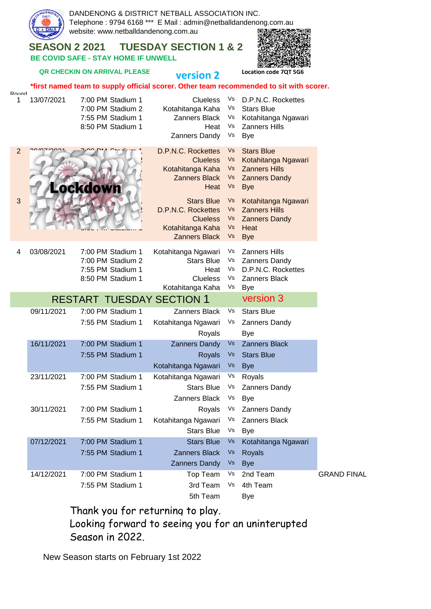

Thank you for returning to play. Looking forward to seeing you for an uninterupted Season in 2022.

New Season starts on February 1st 2022